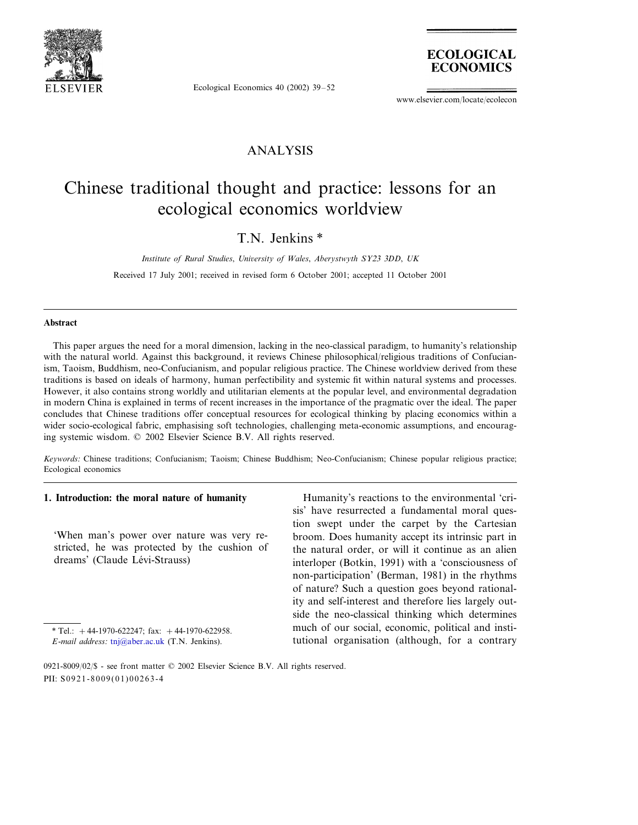

Ecological Economics 40 (2002) 39–52



www.elsevier.com/locate/ecolecon

### ANALYSIS

## Chinese traditional thought and practice: lessons for an ecological economics worldview

T.N. Jenkins \*

*Institute of Rural Studies*, *Uniersity of Wales*, *Aberystwyth SY*<sup>23</sup> <sup>3</sup>*DD*, *UK*

Received 17 July 2001; received in revised form 6 October 2001; accepted 11 October 2001

#### **Abstract**

This paper argues the need for a moral dimension, lacking in the neo-classical paradigm, to humanity's relationship with the natural world. Against this background, it reviews Chinese philosophical/religious traditions of Confucianism, Taoism, Buddhism, neo-Confucianism, and popular religious practice. The Chinese worldview derived from these traditions is based on ideals of harmony, human perfectibility and systemic fit within natural systems and processes. However, it also contains strong worldly and utilitarian elements at the popular level, and environmental degradation in modern China is explained in terms of recent increases in the importance of the pragmatic over the ideal. The paper concludes that Chinese traditions offer conceptual resources for ecological thinking by placing economics within a wider socio-ecological fabric, emphasising soft technologies, challenging meta-economic assumptions, and encouraging systemic wisdom. © 2002 Elsevier Science B.V. All rights reserved.

*Keywords*: Chinese traditions; Confucianism; Taoism; Chinese Buddhism; Neo-Confucianism; Chinese popular religious practice; Ecological economics

### **1. Introduction: the moral nature of humanity**

'When man's power over nature was very restricted, he was protected by the cushion of dreams' (Claude Lévi-Strauss)

Humanity's reactions to the environmental 'crisis' have resurrected a fundamental moral question swept under the carpet by the Cartesian broom. Does humanity accept its intrinsic part in the natural order, or will it continue as an alien interloper (Botkin, 1991) with a 'consciousness of non-participation' (Berman, 1981) in the rhythms of nature? Such a question goes beyond rationality and self-interest and therefore lies largely outside the neo-classical thinking which determines much of our social, economic, political and institutional organisation (although, for a contrary

<sup>\*</sup> Tel.:  $+44-1970-622247$ ; fax:  $+44-1970-622958$ .

*E*-*mail address*: [tnj@aber.ac.uk](mailto:tnj@aber.ac.uk) (T.N. Jenkins).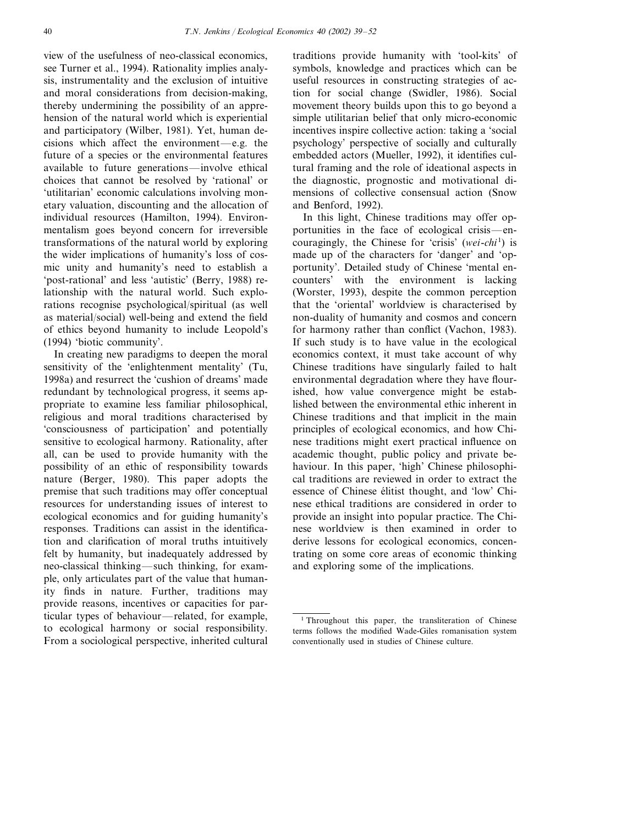view of the usefulness of neo-classical economics, see Turner et al., 1994). Rationality implies analysis, instrumentality and the exclusion of intuitive and moral considerations from decision-making, thereby undermining the possibility of an apprehension of the natural world which is experiential and participatory (Wilber, 1981). Yet, human decisions which affect the environment—e.g. the future of a species or the environmental features available to future generations—involve ethical choices that cannot be resolved by 'rational' or 'utilitarian' economic calculations involving monetary valuation, discounting and the allocation of individual resources (Hamilton, 1994). Environmentalism goes beyond concern for irreversible transformations of the natural world by exploring the wider implications of humanity's loss of cosmic unity and humanity's need to establish a 'post-rational' and less 'autistic' (Berry, 1988) relationship with the natural world. Such explorations recognise psychological/spiritual (as well as material/social) well-being and extend the field of ethics beyond humanity to include Leopold's (1994) 'biotic community'.

In creating new paradigms to deepen the moral sensitivity of the 'enlightenment mentality' (Tu, 1998a) and resurrect the 'cushion of dreams' made redundant by technological progress, it seems appropriate to examine less familiar philosophical, religious and moral traditions characterised by 'consciousness of participation' and potentially sensitive to ecological harmony. Rationality, after all, can be used to provide humanity with the possibility of an ethic of responsibility towards nature (Berger, 1980). This paper adopts the premise that such traditions may offer conceptual resources for understanding issues of interest to ecological economics and for guiding humanity's responses. Traditions can assist in the identification and clarification of moral truths intuitively felt by humanity, but inadequately addressed by neo-classical thinking—such thinking, for example, only articulates part of the value that humanity finds in nature. Further, traditions may provide reasons, incentives or capacities for particular types of behaviour—related, for example, to ecological harmony or social responsibility. From a sociological perspective, inherited cultural traditions provide humanity with 'tool-kits' of symbols, knowledge and practices which can be useful resources in constructing strategies of action for social change (Swidler, 1986). Social movement theory builds upon this to go beyond a simple utilitarian belief that only micro-economic incentives inspire collective action: taking a 'social psychology' perspective of socially and culturally embedded actors (Mueller, 1992), it identifies cultural framing and the role of ideational aspects in the diagnostic, prognostic and motivational dimensions of collective consensual action (Snow and Benford, 1992).

In this light, Chinese traditions may offer opportunities in the face of ecological crisis—encouragingly, the Chinese for 'crisis' (*wei*-*chi* <sup>1</sup> ) is made up of the characters for 'danger' and 'opportunity'. Detailed study of Chinese 'mental encounters' with the environment is lacking (Worster, 1993), despite the common perception that the 'oriental' worldview is characterised by non-duality of humanity and cosmos and concern for harmony rather than conflict (Vachon, 1983). If such study is to have value in the ecological economics context, it must take account of why Chinese traditions have singularly failed to halt environmental degradation where they have flourished, how value convergence might be established between the environmental ethic inherent in Chinese traditions and that implicit in the main principles of ecological economics, and how Chinese traditions might exert practical influence on academic thought, public policy and private behaviour. In this paper, 'high' Chinese philosophical traditions are reviewed in order to extract the essence of Chinese élitist thought, and 'low' Chinese ethical traditions are considered in order to provide an insight into popular practice. The Chinese worldview is then examined in order to derive lessons for ecological economics, concentrating on some core areas of economic thinking and exploring some of the implications.

<sup>1</sup> Throughout this paper, the transliteration of Chinese terms follows the modified Wade-Giles romanisation system conventionally used in studies of Chinese culture.